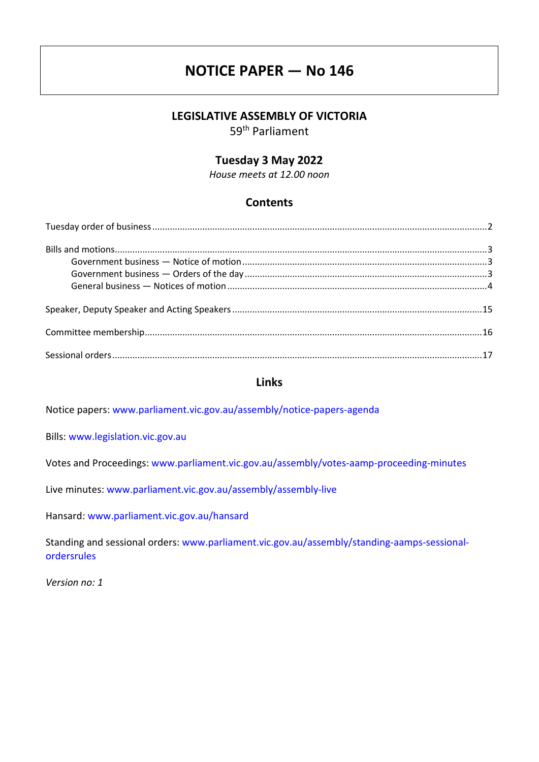# **NOTICE PAPER — No 146**

# **LEGISLATIVE ASSEMBLY OF VICTORIA**

59th Parliament

# **Tuesday 3 May 2022**

*House meets at 12.00 noon*

# **Contents**

# **Links**

Notice papers: [www.parliament.vic.gov.au/assembly/notice-papers-agenda](https://www.parliament.vic.gov.au/assembly/notice-papers-agenda)

Bills: [www.legislation.vic.gov.au](http://www.legislation.vic.gov.au/)

Votes and Proceedings: [www.parliament.vic.gov.au/assembly/votes-aamp-proceeding-minutes](http://www.parliament.vic.gov.au/assembly/votes-aamp-proceeding-minutes)

Live minutes: [www.parliament.vic.gov.au/assembly/assembly-live](https://www.parliament.vic.gov.au/assembly/assembly-live)

Hansard: [www.parliament.vic.gov.au/hansard](http://www.parliament.vic.gov.au/hansard)

Standing and sessional orders: [www.parliament.vic.gov.au/assembly/standing-aamps-sessional](http://www.parliament.vic.gov.au/assembly/standing-aamps-sessional-ordersrules)[ordersrules](http://www.parliament.vic.gov.au/assembly/standing-aamps-sessional-ordersrules)

*Version no: 1*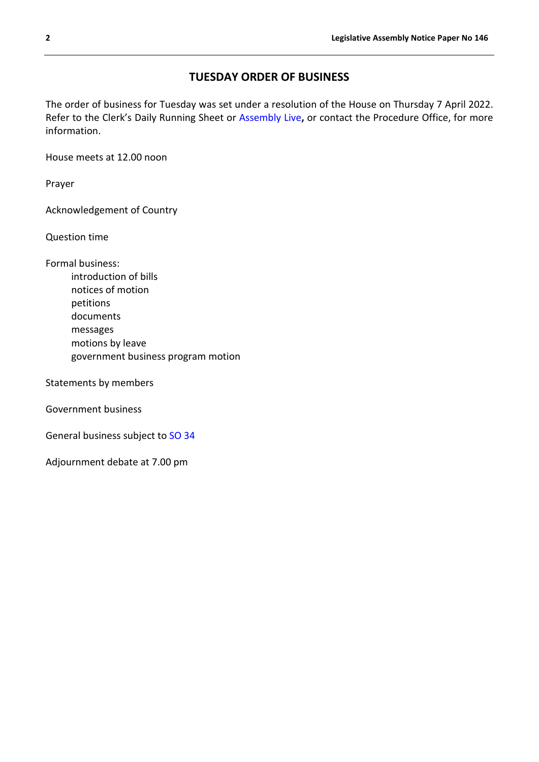# **TUESDAY ORDER OF BUSINESS**

<span id="page-1-0"></span>The order of business for Tuesday was set under a resolution of the House on Thursday 7 April 2022. Refer to the Clerk's Daily Running Sheet or [Assembly Live](https://www.parliament.vic.gov.au/assembly/assembly-live)**,** or contact the Procedure Office, for more information.

House meets at 12.00 noon

Prayer

Acknowledgement of Country

Question time

Formal business: introduction of bills notices of motion petitions documents messages motions by leave government business program motion

Statements by members

Government business

General business subject to [SO 34](https://www.parliament.vic.gov.au/assembly/standing-aamps-sessional-ordersrules/standing-orders/2-legislative-assembly/articles/748-chapter-6-business#so34)

Adjournment debate at 7.00 pm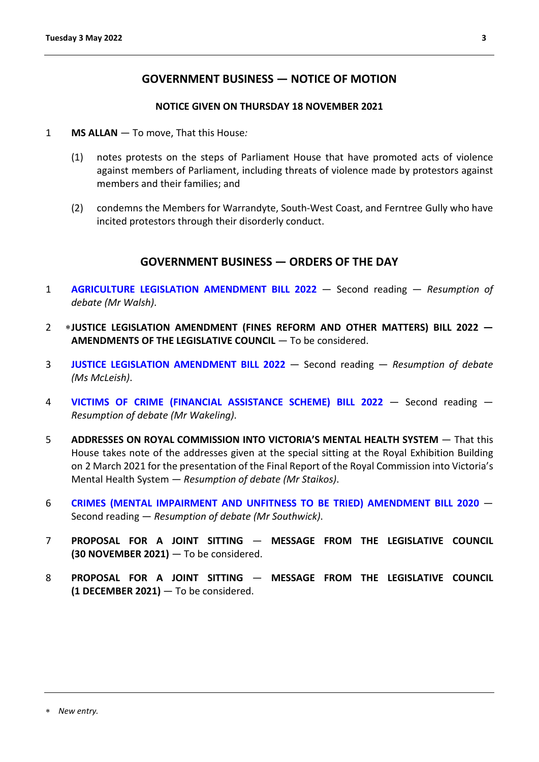# **GOVERNMENT BUSINESS — NOTICE OF MOTION**

#### **NOTICE GIVEN ON THURSDAY 18 NOVEMBER 2021**

- <span id="page-2-1"></span><span id="page-2-0"></span>1 **MS ALLAN** — To move, That this House*:*
	- (1) notes protests on the steps of Parliament House that have promoted acts of violence against members of Parliament, including threats of violence made by protestors against members and their families; and
	- (2) condemns the Members for Warrandyte, South-West Coast, and Ferntree Gully who have incited protestors through their disorderly conduct.

# **GOVERNMENT BUSINESS — ORDERS OF THE DAY**

- <span id="page-2-2"></span>1 **[AGRICULTURE LEGISLATION AMENDMENT BILL 2022](https://www.legislation.vic.gov.au/bills/agriculture-legislation-amendment-bill-2022)** — Second reading — *Resumption of debate (Mr Walsh)*.
- 2 [∗](#page-2-3)**JUSTICE LEGISLATION AMENDMENT (FINES REFORM AND OTHER MATTERS) BILL 2022 — AMENDMENTS OF THE LEGISLATIVE COUNCIL** — To be considered.
- 3 **[JUSTICE LEGISLATION AMENDMENT BILL 2022](https://www.legislation.vic.gov.au/bills/justice-legislation-amendment-bill-2022)** Second reading *Resumption of debate (Ms McLeish)*.
- 4 **[VICTIMS OF CRIME \(FINANCIAL ASSISTANCE SCHEME\) BILL 2022](https://www.legislation.vic.gov.au/bills/victims-crime-financial-assistance-scheme-bill-2022)** Second reading *Resumption of debate (Mr Wakeling)*.
- 5 **ADDRESSES ON ROYAL COMMISSION INTO VICTORIA'S MENTAL HEALTH SYSTEM**  That this House takes note of the addresses given at the special sitting at the Royal Exhibition Building on 2 March 2021 for the presentation of the Final Report of the Royal Commission into Victoria's Mental Health System *— Resumption of debate (Mr Staikos)*.
- 6 **[CRIMES \(MENTAL IMPAIRMENT AND UNFITNESS TO BE TRIED\) AMENDMENT BILL 2020](https://www.legislation.vic.gov.au/bills/crimes-mental-impairment-and-unfitness-be-tried-amendment-bill-2020)** Second reading — *Resumption of debate (Mr Southwick)*.
- 7 **PROPOSAL FOR A JOINT SITTING MESSAGE FROM THE LEGISLATIVE COUNCIL (30 NOVEMBER 2021)** — To be considered.
- <span id="page-2-3"></span>8 **PROPOSAL FOR A JOINT SITTING** — **MESSAGE FROM THE LEGISLATIVE COUNCIL (1 DECEMBER 2021)** — To be considered.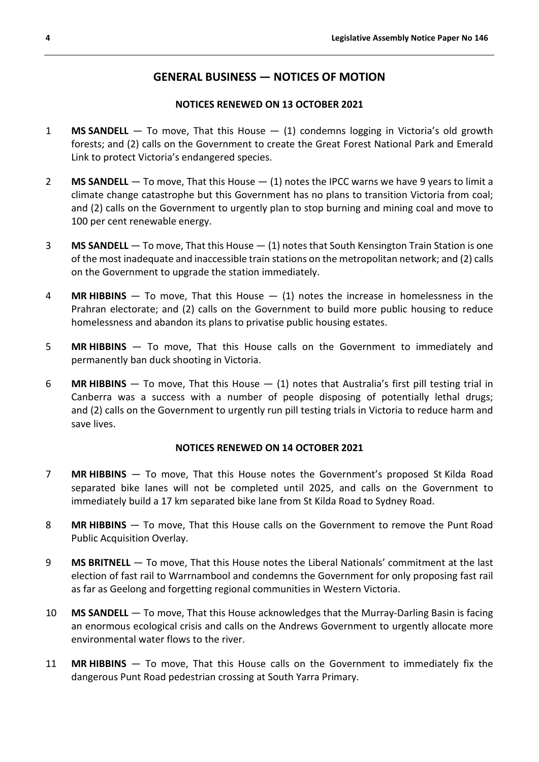# **GENERAL BUSINESS — NOTICES OF MOTION**

# **NOTICES RENEWED ON 13 OCTOBER 2021**

- <span id="page-3-0"></span>1 **MS SANDELL** — To move, That this House — (1) condemns logging in Victoria's old growth forests; and (2) calls on the Government to create the Great Forest National Park and Emerald Link to protect Victoria's endangered species.
- 2 **MS SANDELL** To move, That this House (1) notes the IPCC warns we have 9 years to limit a climate change catastrophe but this Government has no plans to transition Victoria from coal; and (2) calls on the Government to urgently plan to stop burning and mining coal and move to 100 per cent renewable energy.
- 3 **MS SANDELL** To move, That this House (1) notes that South Kensington Train Station is one of the most inadequate and inaccessible train stations on the metropolitan network; and (2) calls on the Government to upgrade the station immediately.
- 4 **MR HIBBINS** To move, That this House (1) notes the increase in homelessness in the Prahran electorate; and (2) calls on the Government to build more public housing to reduce homelessness and abandon its plans to privatise public housing estates.
- 5 **MR HIBBINS** To move, That this House calls on the Government to immediately and permanently ban duck shooting in Victoria.
- 6 **MR HIBBINS** To move, That this House (1) notes that Australia's first pill testing trial in Canberra was a success with a number of people disposing of potentially lethal drugs; and (2) calls on the Government to urgently run pill testing trials in Victoria to reduce harm and save lives.

#### **NOTICES RENEWED ON 14 OCTOBER 2021**

- 7 **MR HIBBINS** To move, That this House notes the Government's proposed St Kilda Road separated bike lanes will not be completed until 2025, and calls on the Government to immediately build a 17 km separated bike lane from St Kilda Road to Sydney Road.
- 8 **MR HIBBINS** To move, That this House calls on the Government to remove the Punt Road Public Acquisition Overlay.
- 9 **MS BRITNELL** To move, That this House notes the Liberal Nationals' commitment at the last election of fast rail to Warrnambool and condemns the Government for only proposing fast rail as far as Geelong and forgetting regional communities in Western Victoria.
- 10 **MS SANDELL** To move, That this House acknowledges that the Murray-Darling Basin is facing an enormous ecological crisis and calls on the Andrews Government to urgently allocate more environmental water flows to the river.
- 11 **MR HIBBINS** To move, That this House calls on the Government to immediately fix the dangerous Punt Road pedestrian crossing at South Yarra Primary.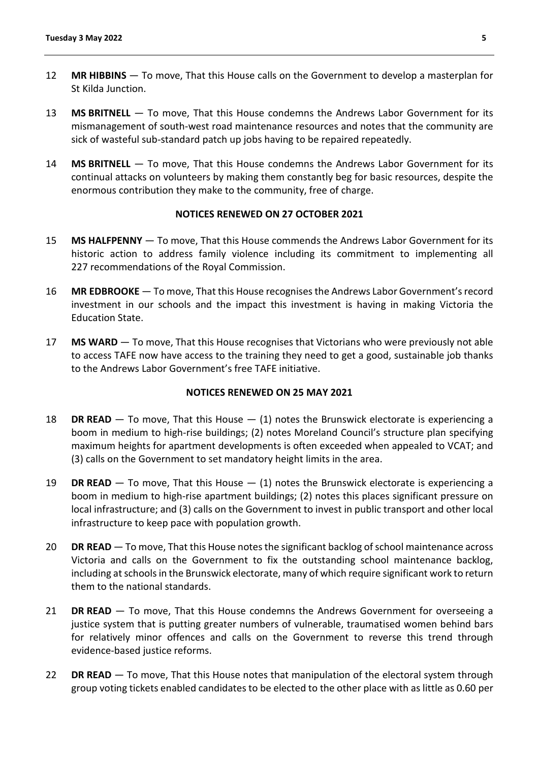- 12 **MR HIBBINS** To move, That this House calls on the Government to develop a masterplan for St Kilda Junction.
- 13 **MS BRITNELL** To move, That this House condemns the Andrews Labor Government for its mismanagement of south-west road maintenance resources and notes that the community are sick of wasteful sub-standard patch up jobs having to be repaired repeatedly.
- 14 **MS BRITNELL** To move, That this House condemns the Andrews Labor Government for its continual attacks on volunteers by making them constantly beg for basic resources, despite the enormous contribution they make to the community, free of charge.

### **NOTICES RENEWED ON 27 OCTOBER 2021**

- 15 **MS HALFPENNY** To move, That this House commends the Andrews Labor Government for its historic action to address family violence including its commitment to implementing all 227 recommendations of the Royal Commission.
- 16 **MR EDBROOKE** To move, That this House recognises the Andrews Labor Government's record investment in our schools and the impact this investment is having in making Victoria the Education State.
- 17 **MS WARD** To move, That this House recognises that Victorians who were previously not able to access TAFE now have access to the training they need to get a good, sustainable job thanks to the Andrews Labor Government's free TAFE initiative.

#### **NOTICES RENEWED ON 25 MAY 2021**

- 18 **DR READ** To move, That this House (1) notes the Brunswick electorate is experiencing a boom in medium to high-rise buildings; (2) notes Moreland Council's structure plan specifying maximum heights for apartment developments is often exceeded when appealed to VCAT; and (3) calls on the Government to set mandatory height limits in the area.
- 19 **DR READ** To move, That this House (1) notes the Brunswick electorate is experiencing a boom in medium to high-rise apartment buildings; (2) notes this places significant pressure on local infrastructure; and (3) calls on the Government to invest in public transport and other local infrastructure to keep pace with population growth.
- 20 **DR READ** To move, That this House notes the significant backlog of school maintenance across Victoria and calls on the Government to fix the outstanding school maintenance backlog, including at schools in the Brunswick electorate, many of which require significant work to return them to the national standards.
- 21 **DR READ** To move, That this House condemns the Andrews Government for overseeing a justice system that is putting greater numbers of vulnerable, traumatised women behind bars for relatively minor offences and calls on the Government to reverse this trend through evidence-based justice reforms.
- 22 **DR READ** To move, That this House notes that manipulation of the electoral system through group voting tickets enabled candidates to be elected to the other place with as little as 0.60 per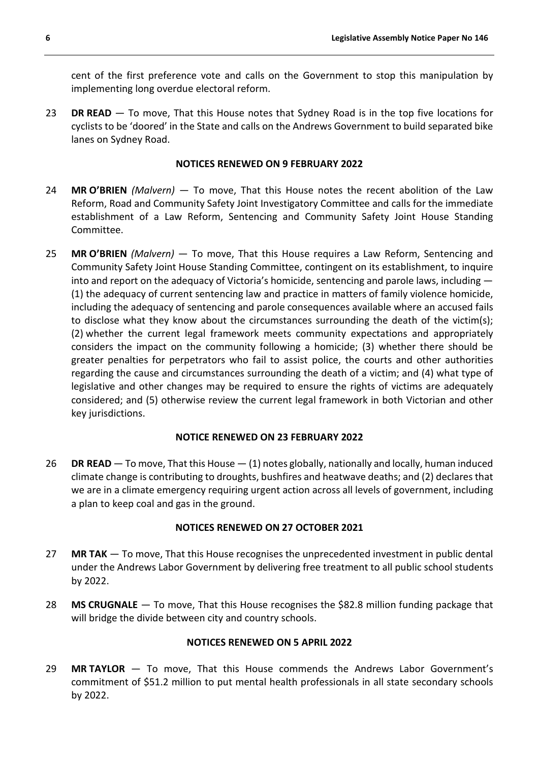cent of the first preference vote and calls on the Government to stop this manipulation by implementing long overdue electoral reform.

23 **DR READ** — To move, That this House notes that Sydney Road is in the top five locations for cyclists to be 'doored' in the State and calls on the Andrews Government to build separated bike lanes on Sydney Road.

### **NOTICES RENEWED ON 9 FEBRUARY 2022**

- 24 **MR O'BRIEN** *(Malvern)* To move, That this House notes the recent abolition of the Law Reform, Road and Community Safety Joint Investigatory Committee and calls for the immediate establishment of a Law Reform, Sentencing and Community Safety Joint House Standing Committee.
- 25 **MR O'BRIEN** *(Malvern)* To move, That this House requires a Law Reform, Sentencing and Community Safety Joint House Standing Committee, contingent on its establishment, to inquire into and report on the adequacy of Victoria's homicide, sentencing and parole laws, including — (1) the adequacy of current sentencing law and practice in matters of family violence homicide, including the adequacy of sentencing and parole consequences available where an accused fails to disclose what they know about the circumstances surrounding the death of the victim(s); (2) whether the current legal framework meets community expectations and appropriately considers the impact on the community following a homicide; (3) whether there should be greater penalties for perpetrators who fail to assist police, the courts and other authorities regarding the cause and circumstances surrounding the death of a victim; and (4) what type of legislative and other changes may be required to ensure the rights of victims are adequately considered; and (5) otherwise review the current legal framework in both Victorian and other key jurisdictions.

# **NOTICE RENEWED ON 23 FEBRUARY 2022**

26 **DR READ** — To move, That this House — (1) notes globally, nationally and locally, human induced climate change is contributing to droughts, bushfires and heatwave deaths; and (2) declares that we are in a climate emergency requiring urgent action across all levels of government, including a plan to keep coal and gas in the ground.

# **NOTICES RENEWED ON 27 OCTOBER 2021**

- 27 **MR TAK** To move, That this House recognises the unprecedented investment in public dental under the Andrews Labor Government by delivering free treatment to all public school students by 2022.
- 28 **MS CRUGNALE** To move, That this House recognises the \$82.8 million funding package that will bridge the divide between city and country schools.

# **NOTICES RENEWED ON 5 APRIL 2022**

29 **MR TAYLOR** — To move, That this House commends the Andrews Labor Government's commitment of \$51.2 million to put mental health professionals in all state secondary schools by 2022.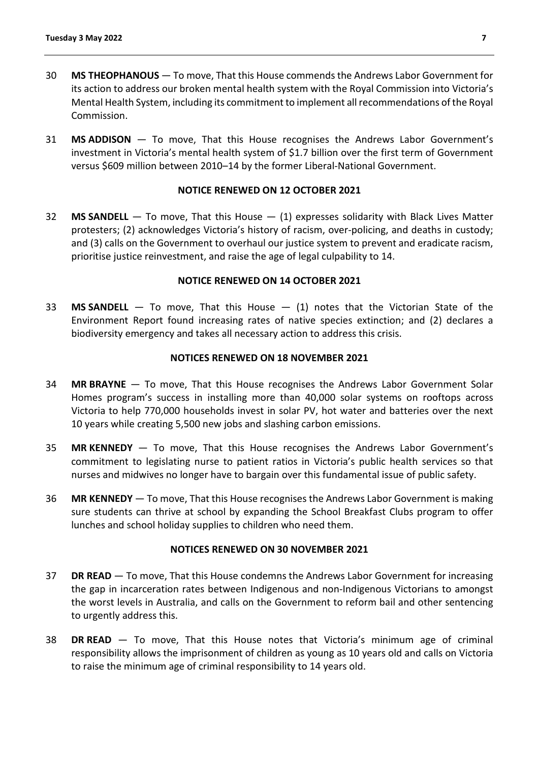- 30 **MS THEOPHANOUS** To move, That this House commends the Andrews Labor Government for its action to address our broken mental health system with the Royal Commission into Victoria's Mental Health System, including its commitment to implement all recommendations of the Royal Commission.
- 31 **MS ADDISON** To move, That this House recognises the Andrews Labor Government's investment in Victoria's mental health system of \$1.7 billion over the first term of Government versus \$609 million between 2010–14 by the former Liberal-National Government.

### **NOTICE RENEWED ON 12 OCTOBER 2021**

32 **MS SANDELL** — To move, That this House — (1) expresses solidarity with Black Lives Matter protesters; (2) acknowledges Victoria's history of racism, over-policing, and deaths in custody; and (3) calls on the Government to overhaul our justice system to prevent and eradicate racism, prioritise justice reinvestment, and raise the age of legal culpability to 14.

### **NOTICE RENEWED ON 14 OCTOBER 2021**

33 **MS SANDELL** — To move, That this House — (1) notes that the Victorian State of the Environment Report found increasing rates of native species extinction; and (2) declares a biodiversity emergency and takes all necessary action to address this crisis.

### **NOTICES RENEWED ON 18 NOVEMBER 2021**

- 34 **MR BRAYNE** To move, That this House recognises the Andrews Labor Government Solar Homes program's success in installing more than 40,000 solar systems on rooftops across Victoria to help 770,000 households invest in solar PV, hot water and batteries over the next 10 years while creating 5,500 new jobs and slashing carbon emissions.
- 35 **MR KENNEDY** To move, That this House recognises the Andrews Labor Government's commitment to legislating nurse to patient ratios in Victoria's public health services so that nurses and midwives no longer have to bargain over this fundamental issue of public safety.
- 36 **MR KENNEDY** To move, That this House recognises the Andrews Labor Government is making sure students can thrive at school by expanding the School Breakfast Clubs program to offer lunches and school holiday supplies to children who need them.

#### **NOTICES RENEWED ON 30 NOVEMBER 2021**

- 37 **DR READ** To move, That this House condemns the Andrews Labor Government for increasing the gap in incarceration rates between Indigenous and non-Indigenous Victorians to amongst the worst levels in Australia, and calls on the Government to reform bail and other sentencing to urgently address this.
- 38 **DR READ** To move, That this House notes that Victoria's minimum age of criminal responsibility allows the imprisonment of children as young as 10 years old and calls on Victoria to raise the minimum age of criminal responsibility to 14 years old.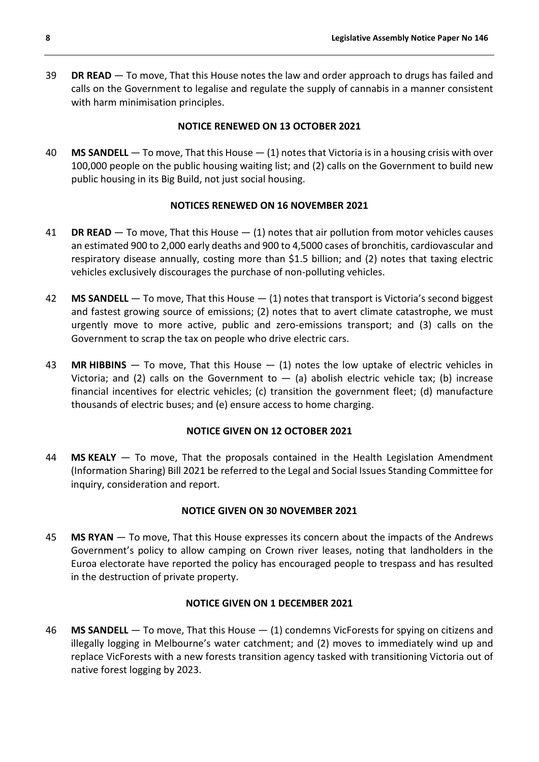39 **DR READ** — To move, That this House notes the law and order approach to drugs has failed and calls on the Government to legalise and regulate the supply of cannabis in a manner consistent with harm minimisation principles.

# **NOTICE RENEWED ON 13 OCTOBER 2021**

40 **MS SANDELL** — To move, That this House — (1) notes that Victoria is in a housing crisis with over 100,000 people on the public housing waiting list; and (2) calls on the Government to build new public housing in its Big Build, not just social housing.

# **NOTICES RENEWED ON 16 NOVEMBER 2021**

- 41 **DR READ** To move, That this House (1) notes that air pollution from motor vehicles causes an estimated 900 to 2,000 early deaths and 900 to 4,5000 cases of bronchitis, cardiovascular and respiratory disease annually, costing more than \$1.5 billion; and (2) notes that taxing electric vehicles exclusively discourages the purchase of non-polluting vehicles.
- 42 **MS SANDELL** To move, That this House (1) notes that transport is Victoria's second biggest and fastest growing source of emissions; (2) notes that to avert climate catastrophe, we must urgently move to more active, public and zero-emissions transport; and (3) calls on the Government to scrap the tax on people who drive electric cars.
- 43 **MR HIBBINS** To move, That this House (1) notes the low uptake of electric vehicles in Victoria; and (2) calls on the Government to  $-$  (a) abolish electric vehicle tax; (b) increase financial incentives for electric vehicles; (c) transition the government fleet; (d) manufacture thousands of electric buses; and (e) ensure access to home charging.

# **NOTICE GIVEN ON 12 OCTOBER 2021**

44 **MS KEALY** — To move, That the proposals contained in the Health Legislation Amendment (Information Sharing) Bill 2021 be referred to the Legal and Social Issues Standing Committee for inquiry, consideration and report.

#### **NOTICE GIVEN ON 30 NOVEMBER 2021**

45 **MS RYAN** — To move, That this House expresses its concern about the impacts of the Andrews Government's policy to allow camping on Crown river leases, noting that landholders in the Euroa electorate have reported the policy has encouraged people to trespass and has resulted in the destruction of private property.

#### **NOTICE GIVEN ON 1 DECEMBER 2021**

46 **MS SANDELL** — To move, That this House — (1) condemns VicForests for spying on citizens and illegally logging in Melbourne's water catchment; and (2) moves to immediately wind up and replace VicForests with a new forests transition agency tasked with transitioning Victoria out of native forest logging by 2023.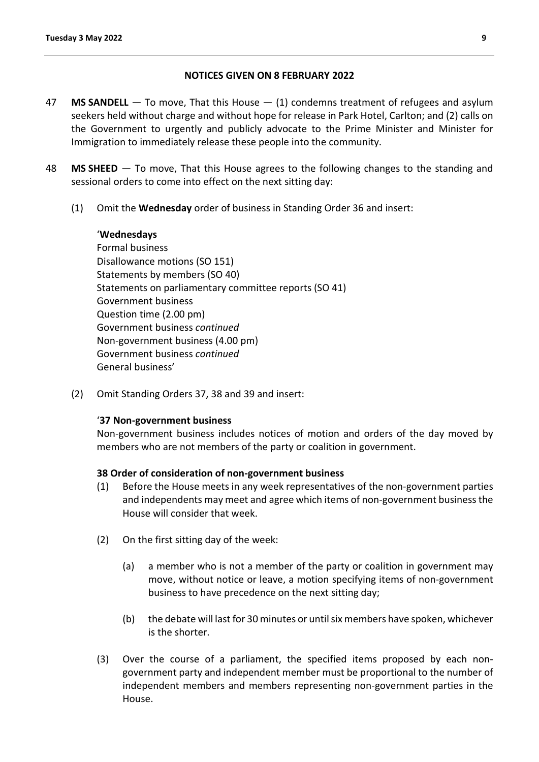### **NOTICES GIVEN ON 8 FEBRUARY 2022**

- 47 **MS SANDELL** To move, That this House (1) condemns treatment of refugees and asylum seekers held without charge and without hope for release in Park Hotel, Carlton; and (2) calls on the Government to urgently and publicly advocate to the Prime Minister and Minister for Immigration to immediately release these people into the community.
- 48 **MS SHEED** To move, That this House agrees to the following changes to the standing and sessional orders to come into effect on the next sitting day:
	- (1) Omit the **Wednesday** order of business in Standing Order 36 and insert:

#### '**Wednesdays**

Formal business Disallowance motions (SO 151) Statements by members (SO 40) Statements on parliamentary committee reports (SO 41) Government business Question time (2.00 pm) Government business *continued* Non-government business (4.00 pm) Government business *continued* General business'

(2) Omit Standing Orders 37, 38 and 39 and insert:

#### '**37 Non-government business**

Non-government business includes notices of motion and orders of the day moved by members who are not members of the party or coalition in government.

#### **38 Order of consideration of non-government business**

- (1) Before the House meets in any week representatives of the non-government parties and independents may meet and agree which items of non-government business the House will consider that week.
- (2) On the first sitting day of the week:
	- (a) a member who is not a member of the party or coalition in government may move, without notice or leave, a motion specifying items of non-government business to have precedence on the next sitting day;
	- (b) the debate will last for 30 minutes or until six members have spoken, whichever is the shorter.
- (3) Over the course of a parliament, the specified items proposed by each nongovernment party and independent member must be proportional to the number of independent members and members representing non-government parties in the House.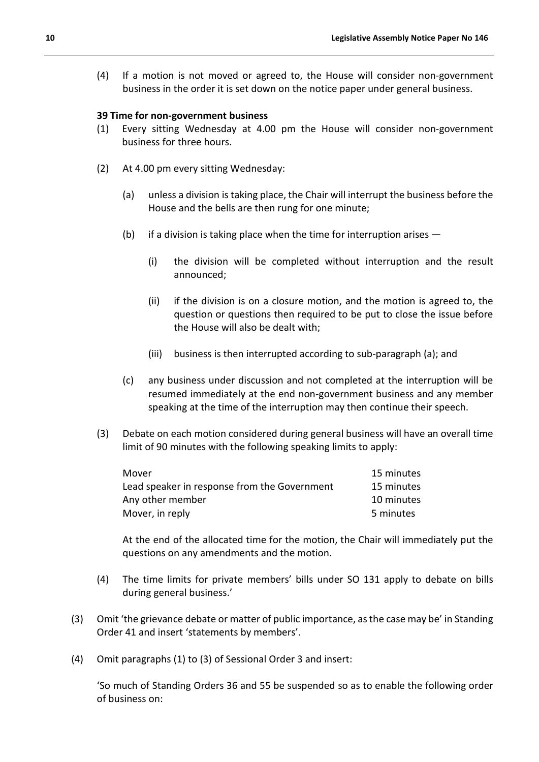(4) If a motion is not moved or agreed to, the House will consider non-government business in the order it is set down on the notice paper under general business.

#### **39 Time for non-government business**

- (1) Every sitting Wednesday at 4.00 pm the House will consider non-government business for three hours.
- (2) At 4.00 pm every sitting Wednesday:
	- (a) unless a division is taking place, the Chair will interrupt the business before the House and the bells are then rung for one minute;
	- (b) if a division is taking place when the time for interruption arises  $-$ 
		- (i) the division will be completed without interruption and the result announced;
		- (ii) if the division is on a closure motion, and the motion is agreed to, the question or questions then required to be put to close the issue before the House will also be dealt with;
		- (iii) business is then interrupted according to sub-paragraph (a); and
	- (c) any business under discussion and not completed at the interruption will be resumed immediately at the end non-government business and any member speaking at the time of the interruption may then continue their speech.
- (3) Debate on each motion considered during general business will have an overall time limit of 90 minutes with the following speaking limits to apply:

| Mover                                        | 15 minutes |
|----------------------------------------------|------------|
| Lead speaker in response from the Government | 15 minutes |
| Any other member                             | 10 minutes |
| Mover, in reply                              | 5 minutes  |

At the end of the allocated time for the motion, the Chair will immediately put the questions on any amendments and the motion.

- (4) The time limits for private members' bills under SO 131 apply to debate on bills during general business.'
- (3) Omit 'the grievance debate or matter of public importance, as the case may be' in Standing Order 41 and insert 'statements by members'.
- (4) Omit paragraphs (1) to (3) of Sessional Order 3 and insert:

'So much of Standing Orders 36 and 55 be suspended so as to enable the following order of business on: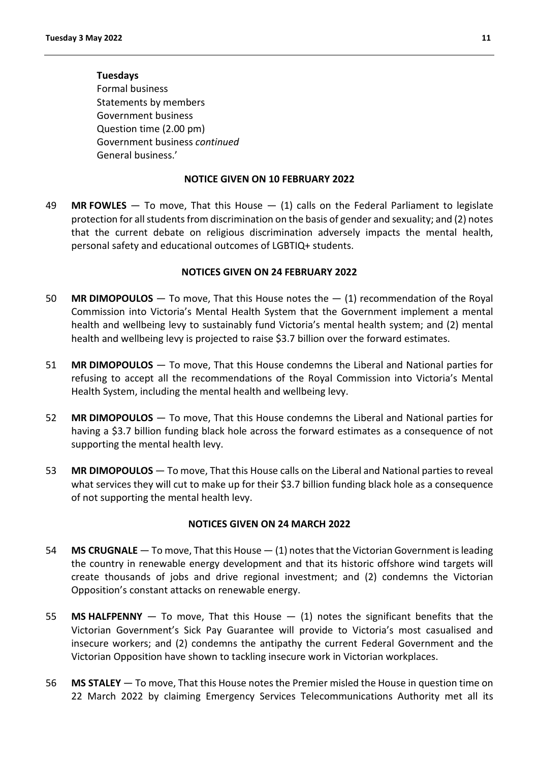#### **Tuesdays**

Formal business Statements by members Government business Question time (2.00 pm) Government business *continued* General business.'

#### **NOTICE GIVEN ON 10 FEBRUARY 2022**

49 **MR FOWLES** — To move, That this House — (1) calls on the Federal Parliament to legislate protection for all students from discrimination on the basis of gender and sexuality; and (2) notes that the current debate on religious discrimination adversely impacts the mental health, personal safety and educational outcomes of LGBTIQ+ students.

#### **NOTICES GIVEN ON 24 FEBRUARY 2022**

- 50 **MR DIMOPOULOS** To move, That this House notes the (1) recommendation of the Royal Commission into Victoria's Mental Health System that the Government implement a mental health and wellbeing levy to sustainably fund Victoria's mental health system; and (2) mental health and wellbeing levy is projected to raise \$3.7 billion over the forward estimates.
- 51 **MR DIMOPOULOS** To move, That this House condemns the Liberal and National parties for refusing to accept all the recommendations of the Royal Commission into Victoria's Mental Health System, including the mental health and wellbeing levy.
- 52 **MR DIMOPOULOS** To move, That this House condemns the Liberal and National parties for having a \$3.7 billion funding black hole across the forward estimates as a consequence of not supporting the mental health levy.
- 53 **MR DIMOPOULOS** To move, That this House calls on the Liberal and National parties to reveal what services they will cut to make up for their \$3.7 billion funding black hole as a consequence of not supporting the mental health levy.

#### **NOTICES GIVEN ON 24 MARCH 2022**

- 54 **MS CRUGNALE** To move, That this House (1) notes that the Victorian Government is leading the country in renewable energy development and that its historic offshore wind targets will create thousands of jobs and drive regional investment; and (2) condemns the Victorian Opposition's constant attacks on renewable energy.
- 55 **MS HALFPENNY** To move, That this House (1) notes the significant benefits that the Victorian Government's Sick Pay Guarantee will provide to Victoria's most casualised and insecure workers; and (2) condemns the antipathy the current Federal Government and the Victorian Opposition have shown to tackling insecure work in Victorian workplaces.
- 56 **MS STALEY** To move, That this House notes the Premier misled the House in question time on 22 March 2022 by claiming Emergency Services Telecommunications Authority met all its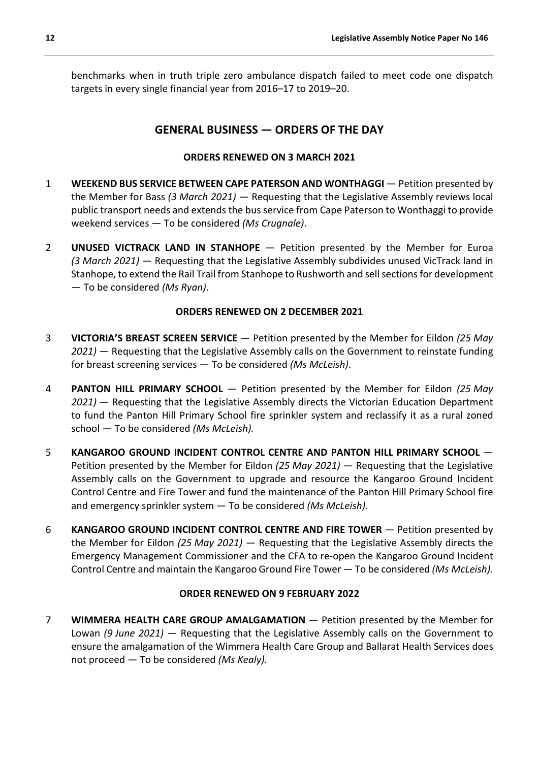benchmarks when in truth triple zero ambulance dispatch failed to meet code one dispatch targets in every single financial year from 2016–17 to 2019–20.

# **GENERAL BUSINESS — ORDERS OF THE DAY**

# **ORDERS RENEWED ON 3 MARCH 2021**

- 1 **WEEKEND BUS SERVICE BETWEEN CAPE PATERSON AND WONTHAGGI** Petition presented by the Member for Bass *(3 March 2021)* — Requesting that the Legislative Assembly reviews local public transport needs and extends the bus service from Cape Paterson to Wonthaggi to provide weekend services — To be considered *(Ms Crugnale)*.
- 2 **UNUSED VICTRACK LAND IN STANHOPE** Petition presented by the Member for Euroa *(3 March 2021)* — Requesting that the Legislative Assembly subdivides unused VicTrack land in Stanhope, to extend the Rail Trail from Stanhope to Rushworth and sell sections for development — To be considered *(Ms Ryan)*.

# **ORDERS RENEWED ON 2 DECEMBER 2021**

- 3 **VICTORIA'S BREAST SCREEN SERVICE** Petition presented by the Member for Eildon *(25 May 2021)* — Requesting that the Legislative Assembly calls on the Government to reinstate funding for breast screening services — To be considered *(Ms McLeish)*.
- 4 **PANTON HILL PRIMARY SCHOOL**  Petition presented by the Member for Eildon *(25 May 2021)* — Requesting that the Legislative Assembly directs the Victorian Education Department to fund the Panton Hill Primary School fire sprinkler system and reclassify it as a rural zoned school — To be considered *(Ms McLeish).*
- 5 **KANGAROO GROUND INCIDENT CONTROL CENTRE AND PANTON HILL PRIMARY SCHOOL**  Petition presented by the Member for Eildon *(25 May 2021)* — Requesting that the Legislative Assembly calls on the Government to upgrade and resource the Kangaroo Ground Incident Control Centre and Fire Tower and fund the maintenance of the Panton Hill Primary School fire and emergency sprinkler system — To be considered *(Ms McLeish).*
- 6 **KANGAROO GROUND INCIDENT CONTROL CENTRE AND FIRE TOWER**  Petition presented by the Member for Eildon *(25 May 2021)* — Requesting that the Legislative Assembly directs the Emergency Management Commissioner and the CFA to re-open the Kangaroo Ground Incident Control Centre and maintain the Kangaroo Ground Fire Tower — To be considered *(Ms McLeish)*.

# **ORDER RENEWED ON 9 FEBRUARY 2022**

7 **WIMMERA HEALTH CARE GROUP AMALGAMATION** — Petition presented by the Member for Lowan *(9 June 2021)* — Requesting that the Legislative Assembly calls on the Government to ensure the amalgamation of the Wimmera Health Care Group and Ballarat Health Services does not proceed — To be considered *(Ms Kealy).*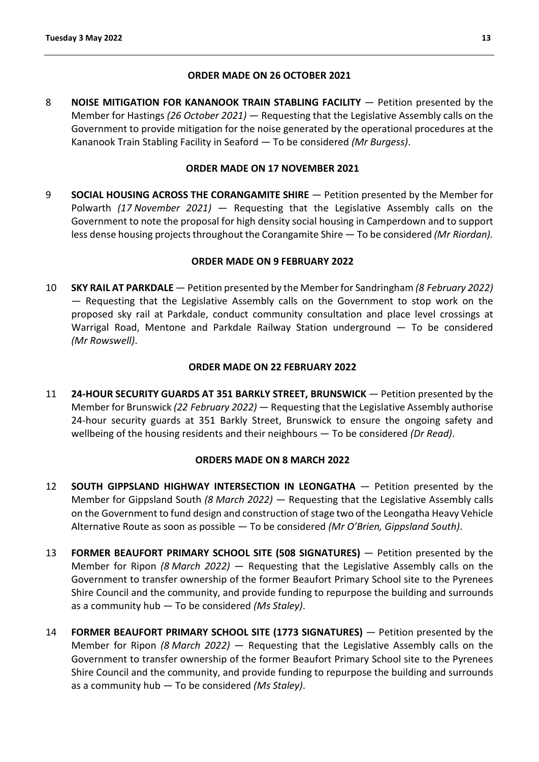### **ORDER MADE ON 26 OCTOBER 2021**

8 **NOISE MITIGATION FOR KANANOOK TRAIN STABLING FACILITY** — Petition presented by the Member for Hastings *(26 October 2021)* — Requesting that the Legislative Assembly calls on the Government to provide mitigation for the noise generated by the operational procedures at the Kananook Train Stabling Facility in Seaford — To be considered *(Mr Burgess)*.

### **ORDER MADE ON 17 NOVEMBER 2021**

9 **SOCIAL HOUSING ACROSS THE CORANGAMITE SHIRE** — Petition presented by the Member for Polwarth *(17 November 2021)* — Requesting that the Legislative Assembly calls on the Government to note the proposal for high density social housing in Camperdown and to support less dense housing projects throughout the Corangamite Shire — To be considered *(Mr Riordan).*

### **ORDER MADE ON 9 FEBRUARY 2022**

10 **SKY RAIL AT PARKDALE** — Petition presented by the Member for Sandringham *(8 February 2022)* — Requesting that the Legislative Assembly calls on the Government to stop work on the proposed sky rail at Parkdale, conduct community consultation and place level crossings at Warrigal Road, Mentone and Parkdale Railway Station underground — To be considered *(Mr Rowswell)*.

### **ORDER MADE ON 22 FEBRUARY 2022**

11 **24-HOUR SECURITY GUARDS AT 351 BARKLY STREET, BRUNSWICK** — Petition presented by the Member for Brunswick *(22 February 2022)* — Requesting that the Legislative Assembly authorise 24-hour security guards at 351 Barkly Street, Brunswick to ensure the ongoing safety and wellbeing of the housing residents and their neighbours — To be considered *(Dr Read)*.

#### **ORDERS MADE ON 8 MARCH 2022**

- 12 **SOUTH GIPPSLAND HIGHWAY INTERSECTION IN LEONGATHA**  Petition presented by the Member for Gippsland South *(8 March 2022)* — Requesting that the Legislative Assembly calls on the Government to fund design and construction of stage two of the Leongatha Heavy Vehicle Alternative Route as soon as possible — To be considered *(Mr O'Brien, Gippsland South)*.
- 13 **FORMER BEAUFORT PRIMARY SCHOOL SITE (508 SIGNATURES)**  Petition presented by the Member for Ripon *(8 March 2022)* — Requesting that the Legislative Assembly calls on the Government to transfer ownership of the former Beaufort Primary School site to the Pyrenees Shire Council and the community, and provide funding to repurpose the building and surrounds as a community hub — To be considered *(Ms Staley)*.
- 14 **FORMER BEAUFORT PRIMARY SCHOOL SITE (1773 SIGNATURES)** Petition presented by the Member for Ripon *(8 March 2022)* — Requesting that the Legislative Assembly calls on the Government to transfer ownership of the former Beaufort Primary School site to the Pyrenees Shire Council and the community, and provide funding to repurpose the building and surrounds as a community hub — To be considered *(Ms Staley)*.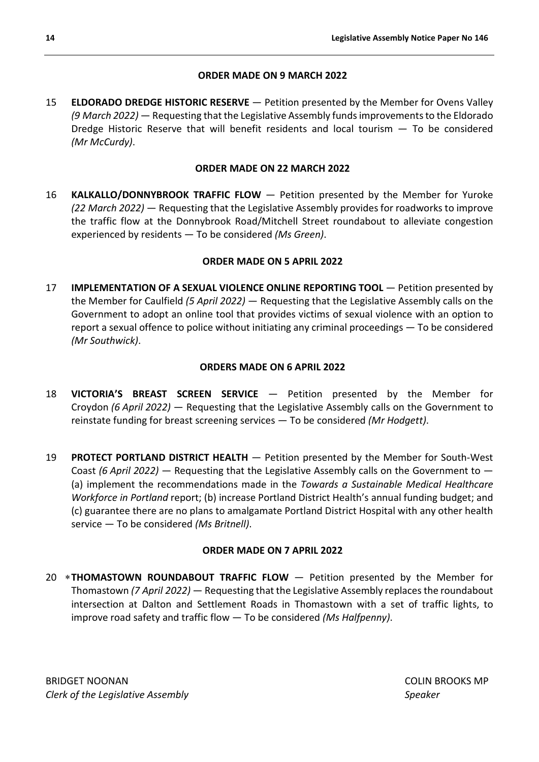# **ORDER MADE ON 9 MARCH 2022**

15 **ELDORADO DREDGE HISTORIC RESERVE** — Petition presented by the Member for Ovens Valley *(9 March 2022)* — Requesting that the Legislative Assembly funds improvements to the Eldorado Dredge Historic Reserve that will benefit residents and local tourism — To be considered *(Mr McCurdy)*.

# **ORDER MADE ON 22 MARCH 2022**

16 **KALKALLO/DONNYBROOK TRAFFIC FLOW** — Petition presented by the Member for Yuroke *(22 March 2022)* — Requesting that the Legislative Assembly provides for roadworks to improve the traffic flow at the Donnybrook Road/Mitchell Street roundabout to alleviate congestion experienced by residents — To be considered *(Ms Green)*.

# **ORDER MADE ON 5 APRIL 2022**

17 **IMPLEMENTATION OF A SEXUAL VIOLENCE ONLINE REPORTING TOOL** — Petition presented by the Member for Caulfield *(5 April 2022)* — Requesting that the Legislative Assembly calls on the Government to adopt an online tool that provides victims of sexual violence with an option to report a sexual offence to police without initiating any criminal proceedings — To be considered *(Mr Southwick)*.

# **ORDERS MADE ON 6 APRIL 2022**

- 18 **VICTORIA'S BREAST SCREEN SERVICE** Petition presented by the Member for Croydon *(6 April 2022)* — Requesting that the Legislative Assembly calls on the Government to reinstate funding for breast screening services — To be considered *(Mr Hodgett)*.
- 19 **PROTECT PORTLAND DISTRICT HEALTH** Petition presented by the Member for South-West Coast *(6 April 2022)* — Requesting that the Legislative Assembly calls on the Government to — (a) implement the recommendations made in the *Towards a Sustainable Medical Healthcare Workforce in Portland* report; (b) increase Portland District Health's annual funding budget; and (c) guarantee there are no plans to amalgamate Portland District Hospital with any other health service — To be considered *(Ms Britnell)*.

# **ORDER MADE ON 7 APRIL 2022**

20 ∗**THOMASTOWN ROUNDABOUT TRAFFIC FLOW** — Petition presented by the Member for Thomastown *(7 April 2022)* — Requesting that the Legislative Assembly replaces the roundabout intersection at Dalton and Settlement Roads in Thomastown with a set of traffic lights, to improve road safety and traffic flow — To be considered *(Ms Halfpenny)*.

BRIDGET NOONAN COLIN BROOKS MP *Clerk of the Legislative Assembly Speaker*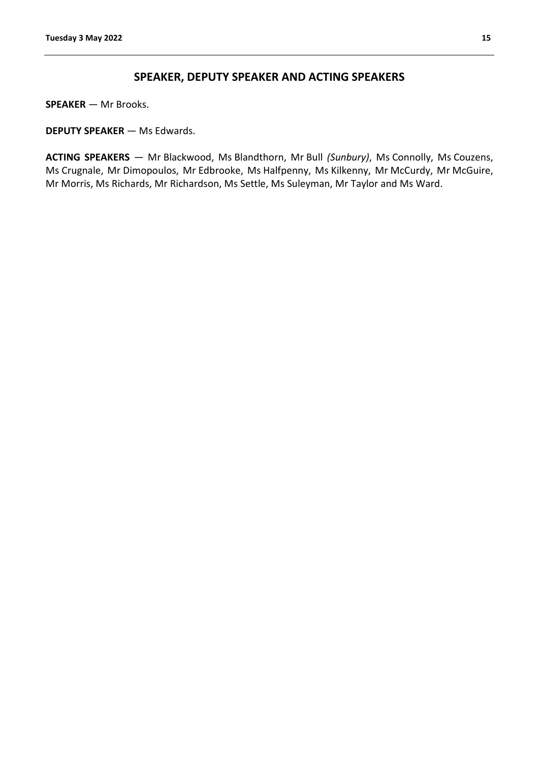# **SPEAKER, DEPUTY SPEAKER AND ACTING SPEAKERS**

<span id="page-14-0"></span>**SPEAKER** — Mr Brooks.

**DEPUTY SPEAKER** — Ms Edwards.

**ACTING SPEAKERS** — Mr Blackwood, Ms Blandthorn, Mr Bull *(Sunbury)*, Ms Connolly, Ms Couzens, Ms Crugnale, Mr Dimopoulos, Mr Edbrooke, Ms Halfpenny, Ms Kilkenny, Mr McCurdy, Mr McGuire, Mr Morris, Ms Richards, Mr Richardson, Ms Settle, Ms Suleyman, Mr Taylor and Ms Ward.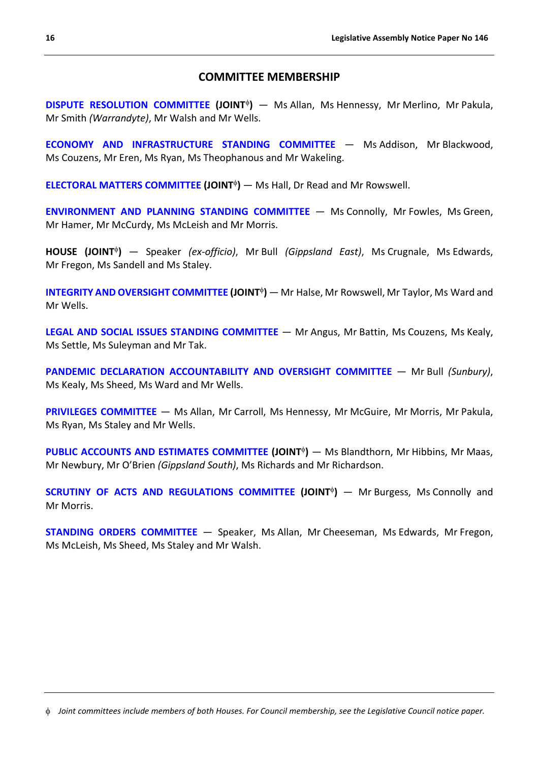# **COMMITTEE MEMBERSHIP**

<span id="page-15-0"></span>**[DISPUTE RESOLUTION COMMITTEE](https://www.parliament.vic.gov.au/dispute-resolution) (JOINT<sup>¢</sup>)** — Ms Allan, Ms Hennessy, Mr Merlino, Mr Pakula, Mr Smith *(Warrandyte)*, Mr Walsh and Mr Wells.

**[ECONOMY AND INFRASTRUCTURE STANDING COMMITTEE](https://www.parliament.vic.gov.au/eic-la?showyear=0§ion_id=951&cat_id=951)** — Ms Addison, Mr Blackwood, Ms Couzens, Mr Eren, Ms Ryan, Ms Theophanous and Mr Wakeling.

**[ELECTORAL MATTERS COMMITTEE](https://www.parliament.vic.gov.au/emc) (JOINT<sup>¢</sup>)** — Ms Hall, Dr Read and Mr Rowswell.

**[ENVIRONMENT AND PLANNING STANDING COMMITTEE](https://www.parliament.vic.gov.au/epc-la?showyear=0§ion_id=952&cat_id=453)** — Ms Connolly, Mr Fowles, Ms Green, Mr Hamer, Mr McCurdy, Ms McLeish and Mr Morris.

**HOUSE (JOINT**<sup>φ</sup>**)** — Speaker *(ex-officio)*, Mr Bull *(Gippsland East)*, Ms Crugnale, Ms Edwards, Mr Fregon, Ms Sandell and Ms Staley.

**[INTEGRITY AND OVERSIGHT COMMITTEE](https://www.parliament.vic.gov.au/ioc) (JOINT<sup>®</sup>)** — Mr Halse, Mr Rowswell, Mr Taylor, Ms Ward and Mr Wells.

**[LEGAL AND SOCIAL ISSUES STANDING COMMITTEE](https://www.parliament.vic.gov.au/lsic-la?showyear=0§ion_id=953&cat_id=453)** — Mr Angus, Mr Battin, Ms Couzens, Ms Kealy, Ms Settle, Ms Suleyman and Mr Tak.

**[PANDEMIC DECLARATION ACCOUNTABILITY AND OVERSIGHT COMMITTEE](https://www.parliament.vic.gov.au/pdaoc)** — Mr Bull *(Sunbury)*, Ms Kealy, Ms Sheed, Ms Ward and Mr Wells.

**[PRIVILEGES COMMITTEE](https://www.parliament.vic.gov.au/la-privileges)** — Ms Allan, Mr Carroll, Ms Hennessy, Mr McGuire, Mr Morris, Mr Pakula, Ms Ryan, Ms Staley and Mr Wells.

**[PUBLIC ACCOUNTS AND ESTIMATES COMMITTEE](https://www.parliament.vic.gov.au/paec) (JOINT<sup>¢</sup>)** — Ms Blandthorn, Mr Hibbins, Mr Maas, Mr Newbury, Mr O'Brien *(Gippsland South)*, Ms Richards and Mr Richardson.

**[SCRUTINY OF ACTS AND REGULATIONS COMMITTEE](https://www.parliament.vic.gov.au/sarc) (JOINT<sup>¢</sup>) — Mr Burgess, Ms Connolly and** Mr Morris.

<span id="page-15-1"></span>**[STANDING ORDERS COMMITTEE](https://www.parliament.vic.gov.au/la-standing-orders)** — Speaker, Ms Allan, Mr Cheeseman, Ms Edwards, Mr Fregon, Ms McLeish, Ms Sheed, Ms Staley and Mr Walsh.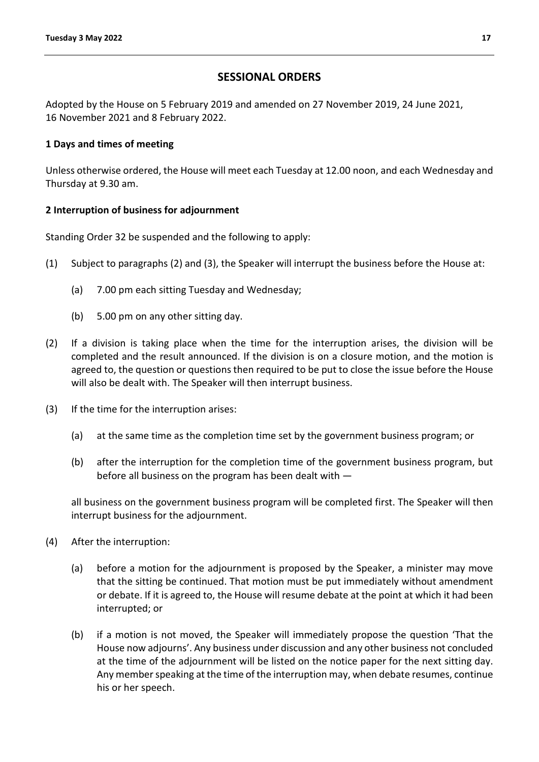# **SESSIONAL ORDERS**

<span id="page-16-0"></span>Adopted by the House on 5 February 2019 and amended on 27 November 2019, 24 June 2021, 16 November 2021 and 8 February 2022.

# **1 Days and times of meeting**

Unless otherwise ordered, the House will meet each Tuesday at 12.00 noon, and each Wednesday and Thursday at 9.30 am.

# **2 Interruption of business for adjournment**

Standing Order 32 be suspended and the following to apply:

- (1) Subject to paragraphs (2) and (3), the Speaker will interrupt the business before the House at:
	- (a) 7.00 pm each sitting Tuesday and Wednesday;
	- (b) 5.00 pm on any other sitting day.
- (2) If a division is taking place when the time for the interruption arises, the division will be completed and the result announced. If the division is on a closure motion, and the motion is agreed to, the question or questions then required to be put to close the issue before the House will also be dealt with. The Speaker will then interrupt business.
- (3) If the time for the interruption arises:
	- (a) at the same time as the completion time set by the government business program; or
	- (b) after the interruption for the completion time of the government business program, but before all business on the program has been dealt with —

all business on the government business program will be completed first. The Speaker will then interrupt business for the adjournment.

- (4) After the interruption:
	- (a) before a motion for the adjournment is proposed by the Speaker, a minister may move that the sitting be continued. That motion must be put immediately without amendment or debate. If it is agreed to, the House will resume debate at the point at which it had been interrupted; or
	- (b) if a motion is not moved, the Speaker will immediately propose the question 'That the House now adjourns'. Any business under discussion and any other business not concluded at the time of the adjournment will be listed on the notice paper for the next sitting day. Any member speaking at the time of the interruption may, when debate resumes, continue his or her speech.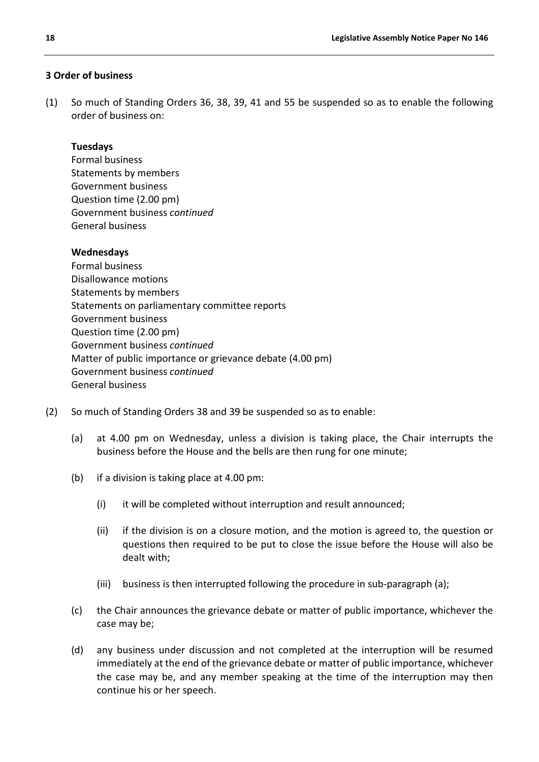# **3 Order of business**

(1) So much of Standing Orders 36, 38, 39, 41 and 55 be suspended so as to enable the following order of business on:

#### **Tuesdays**

Formal business Statements by members Government business Question time (2.00 pm) Government business *continued* General business

#### **Wednesdays**

Formal business Disallowance motions Statements by members Statements on parliamentary committee reports Government business Question time (2.00 pm) Government business *continued* Matter of public importance or grievance debate (4.00 pm) Government business *continued* General business

- (2) So much of Standing Orders 38 and 39 be suspended so as to enable:
	- (a) at 4.00 pm on Wednesday, unless a division is taking place, the Chair interrupts the business before the House and the bells are then rung for one minute;
	- (b) if a division is taking place at 4.00 pm:
		- (i) it will be completed without interruption and result announced;
		- (ii) if the division is on a closure motion, and the motion is agreed to, the question or questions then required to be put to close the issue before the House will also be dealt with;
		- (iii) business is then interrupted following the procedure in sub-paragraph (a);
	- (c) the Chair announces the grievance debate or matter of public importance, whichever the case may be;
	- (d) any business under discussion and not completed at the interruption will be resumed immediately at the end of the grievance debate or matter of public importance, whichever the case may be, and any member speaking at the time of the interruption may then continue his or her speech.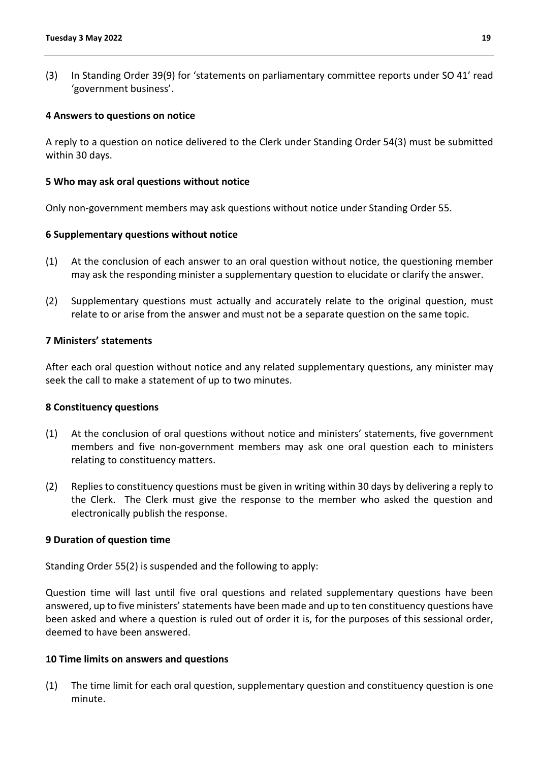(3) In Standing Order 39(9) for 'statements on parliamentary committee reports under SO 41' read 'government business'.

#### **4 Answers to questions on notice**

A reply to a question on notice delivered to the Clerk under Standing Order 54(3) must be submitted within 30 days.

#### **5 Who may ask oral questions without notice**

Only non-government members may ask questions without notice under Standing Order 55.

#### **6 Supplementary questions without notice**

- (1) At the conclusion of each answer to an oral question without notice, the questioning member may ask the responding minister a supplementary question to elucidate or clarify the answer.
- (2) Supplementary questions must actually and accurately relate to the original question, must relate to or arise from the answer and must not be a separate question on the same topic.

#### **7 Ministers' statements**

After each oral question without notice and any related supplementary questions, any minister may seek the call to make a statement of up to two minutes.

#### **8 Constituency questions**

- (1) At the conclusion of oral questions without notice and ministers' statements, five government members and five non-government members may ask one oral question each to ministers relating to constituency matters.
- (2) Replies to constituency questions must be given in writing within 30 days by delivering a reply to the Clerk. The Clerk must give the response to the member who asked the question and electronically publish the response.

#### **9 Duration of question time**

Standing Order 55(2) is suspended and the following to apply:

Question time will last until five oral questions and related supplementary questions have been answered, up to five ministers' statements have been made and up to ten constituency questions have been asked and where a question is ruled out of order it is, for the purposes of this sessional order, deemed to have been answered.

#### **10 Time limits on answers and questions**

(1) The time limit for each oral question, supplementary question and constituency question is one minute.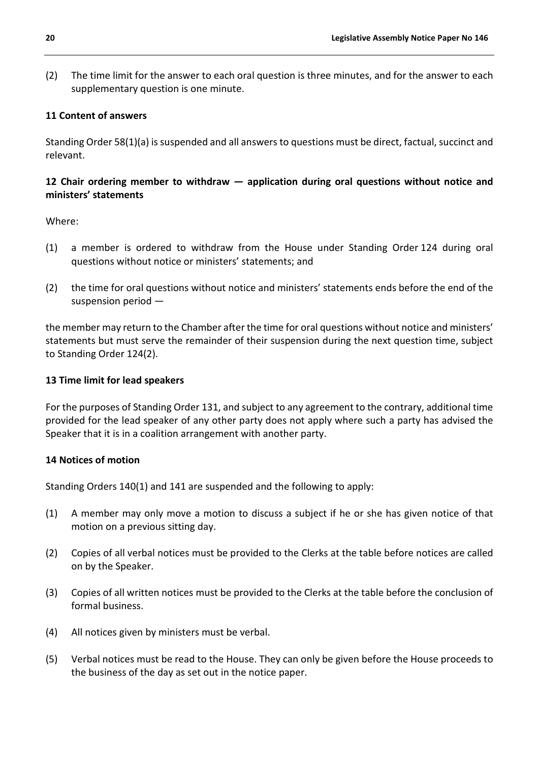(2) The time limit for the answer to each oral question is three minutes, and for the answer to each supplementary question is one minute.

# **11 Content of answers**

Standing Order 58(1)(a) is suspended and all answers to questions must be direct, factual, succinct and relevant.

# **12 Chair ordering member to withdraw — application during oral questions without notice and ministers' statements**

Where:

- (1) a member is ordered to withdraw from the House under Standing Order 124 during oral questions without notice or ministers' statements; and
- (2) the time for oral questions without notice and ministers' statements ends before the end of the suspension period —

the member may return to the Chamber after the time for oral questions without notice and ministers' statements but must serve the remainder of their suspension during the next question time, subject to Standing Order 124(2).

#### **13 Time limit for lead speakers**

For the purposes of Standing Order 131, and subject to any agreement to the contrary, additional time provided for the lead speaker of any other party does not apply where such a party has advised the Speaker that it is in a coalition arrangement with another party.

#### **14 Notices of motion**

Standing Orders 140(1) and 141 are suspended and the following to apply:

- (1) A member may only move a motion to discuss a subject if he or she has given notice of that motion on a previous sitting day.
- (2) Copies of all verbal notices must be provided to the Clerks at the table before notices are called on by the Speaker.
- (3) Copies of all written notices must be provided to the Clerks at the table before the conclusion of formal business.
- (4) All notices given by ministers must be verbal.
- (5) Verbal notices must be read to the House. They can only be given before the House proceeds to the business of the day as set out in the notice paper.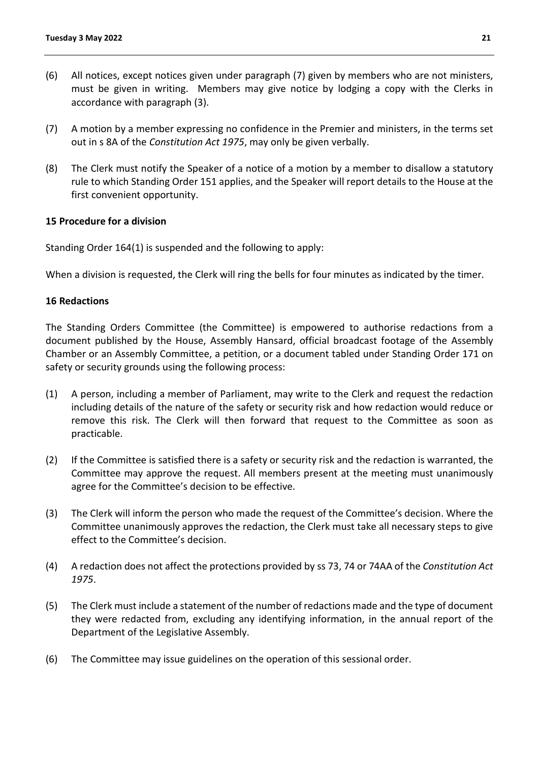- (6) All notices, except notices given under paragraph (7) given by members who are not ministers, must be given in writing. Members may give notice by lodging a copy with the Clerks in accordance with paragraph (3).
- (7) A motion by a member expressing no confidence in the Premier and ministers, in the terms set out in s 8A of the *Constitution Act 1975*, may only be given verbally.
- (8) The Clerk must notify the Speaker of a notice of a motion by a member to disallow a statutory rule to which Standing Order 151 applies, and the Speaker will report details to the House at the first convenient opportunity.

### **15 Procedure for a division**

Standing Order 164(1) is suspended and the following to apply:

When a division is requested, the Clerk will ring the bells for four minutes as indicated by the timer.

### **16 Redactions**

The Standing Orders Committee (the Committee) is empowered to authorise redactions from a document published by the House, Assembly Hansard, official broadcast footage of the Assembly Chamber or an Assembly Committee, a petition, or a document tabled under Standing Order 171 on safety or security grounds using the following process:

- (1) A person, including a member of Parliament, may write to the Clerk and request the redaction including details of the nature of the safety or security risk and how redaction would reduce or remove this risk. The Clerk will then forward that request to the Committee as soon as practicable.
- (2) If the Committee is satisfied there is a safety or security risk and the redaction is warranted, the Committee may approve the request. All members present at the meeting must unanimously agree for the Committee's decision to be effective.
- (3) The Clerk will inform the person who made the request of the Committee's decision. Where the Committee unanimously approves the redaction, the Clerk must take all necessary steps to give effect to the Committee's decision.
- (4) A redaction does not affect the protections provided by ss 73, 74 or 74AA of the *Constitution Act 1975*.
- (5) The Clerk must include a statement of the number of redactions made and the type of document they were redacted from, excluding any identifying information, in the annual report of the Department of the Legislative Assembly.
- (6) The Committee may issue guidelines on the operation of this sessional order.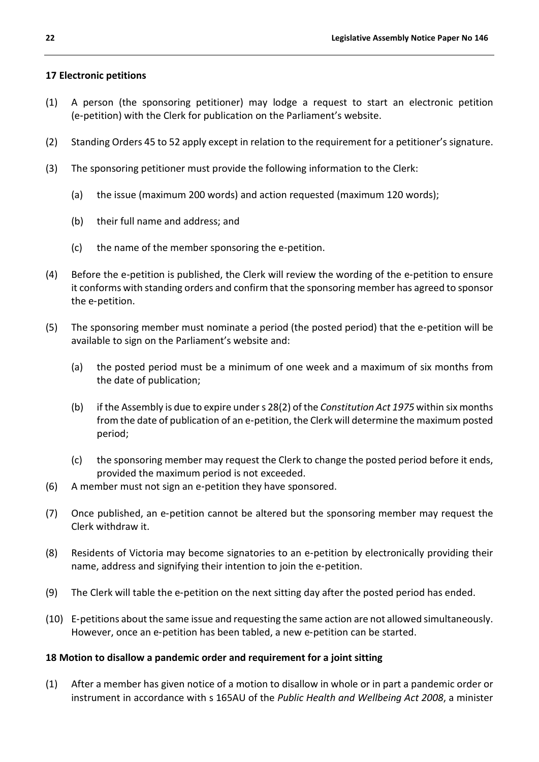# **17 Electronic petitions**

- (1) A person (the sponsoring petitioner) may lodge a request to start an electronic petition (e‑petition) with the Clerk for publication on the Parliament's website.
- (2) Standing Orders 45 to 52 apply except in relation to the requirement for a petitioner's signature.
- (3) The sponsoring petitioner must provide the following information to the Clerk:
	- (a) the issue (maximum 200 words) and action requested (maximum 120 words);
	- (b) their full name and address; and
	- (c) the name of the member sponsoring the e‑petition.
- (4) Before the e‑petition is published, the Clerk will review the wording of the e‑petition to ensure it conforms with standing orders and confirm that the sponsoring member has agreed to sponsor the e‑petition.
- (5) The sponsoring member must nominate a period (the posted period) that the e‑petition will be available to sign on the Parliament's website and:
	- (a) the posted period must be a minimum of one week and a maximum of six months from the date of publication;
	- (b) if the Assembly is due to expire under s 28(2) of the *Constitution Act 1975* within six months from the date of publication of an e-petition, the Clerk will determine the maximum posted period;
	- (c) the sponsoring member may request the Clerk to change the posted period before it ends, provided the maximum period is not exceeded.
- (6) A member must not sign an e‑petition they have sponsored.
- (7) Once published, an e‑petition cannot be altered but the sponsoring member may request the Clerk withdraw it.
- (8) Residents of Victoria may become signatories to an e‑petition by electronically providing their name, address and signifying their intention to join the e-petition.
- (9) The Clerk will table the e‑petition on the next sitting day after the posted period has ended.
- (10) E‑petitions about the same issue and requesting the same action are not allowed simultaneously. However, once an e-petition has been tabled, a new e-petition can be started.

# **18 Motion to disallow a pandemic order and requirement for a joint sitting**

(1) After a member has given notice of a motion to disallow in whole or in part a pandemic order or instrument in accordance with s 165AU of the *Public Health and Wellbeing Act 2008*, a minister